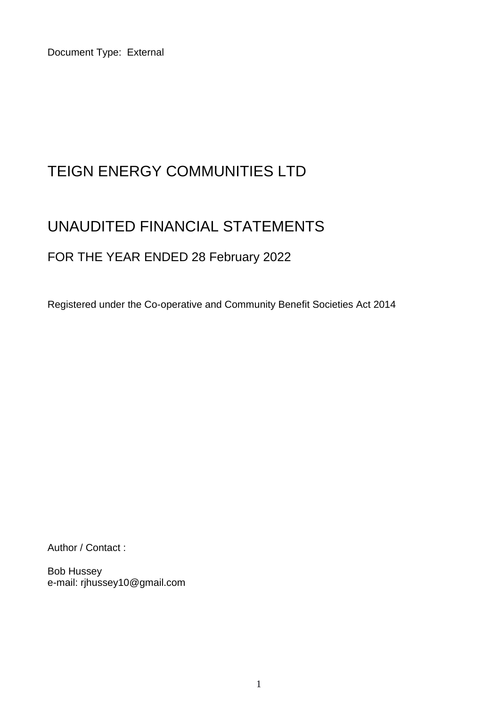Document Type: External

# TEIGN ENERGY COMMUNITIES LTD

# UNAUDITED FINANCIAL STATEMENTS

## FOR THE YEAR ENDED 28 February 2022

Registered under the Co-operative and Community Benefit Societies Act 2014

Author / Contact :

Bob Hussey e-mail: rjhussey10@gmail.com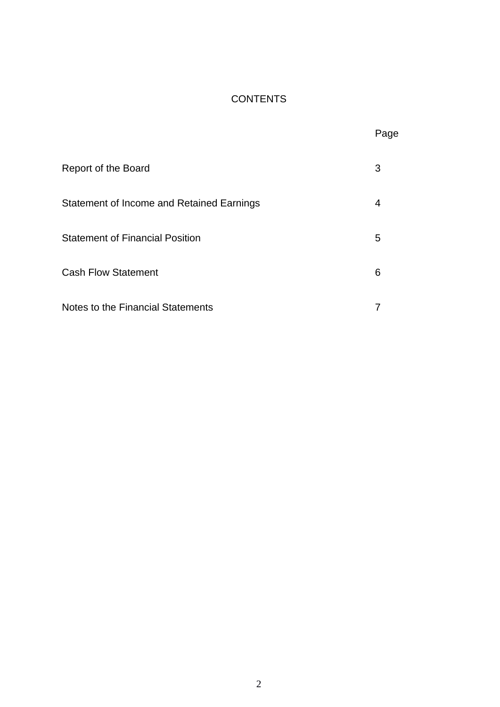## **CONTENTS**

|                                           | Page |
|-------------------------------------------|------|
| Report of the Board                       | 3    |
| Statement of Income and Retained Earnings | 4    |
| <b>Statement of Financial Position</b>    | 5    |
| <b>Cash Flow Statement</b>                | 6    |
| Notes to the Financial Statements         | 7    |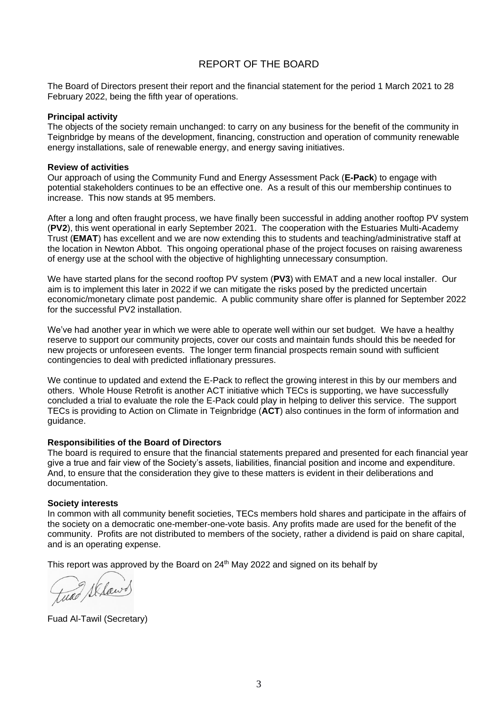#### REPORT OF THE BOARD

The Board of Directors present their report and the financial statement for the period 1 March 2021 to 28 February 2022, being the fifth year of operations.

#### **Principal activity**

The objects of the society remain unchanged: to carry on any business for the benefit of the community in Teignbridge by means of the development, financing, construction and operation of community renewable energy installations, sale of renewable energy, and energy saving initiatives.

#### **Review of activities**

Our approach of using the Community Fund and Energy Assessment Pack (**E-Pack**) to engage with potential stakeholders continues to be an effective one. As a result of this our membership continues to increase. This now stands at 95 members.

After a long and often fraught process, we have finally been successful in adding another rooftop PV system (**PV2**), this went operational in early September 2021. The cooperation with the Estuaries Multi-Academy Trust (**EMAT**) has excellent and we are now extending this to students and teaching/administrative staff at the location in Newton Abbot. This ongoing operational phase of the project focuses on raising awareness of energy use at the school with the objective of highlighting unnecessary consumption.

We have started plans for the second rooftop PV system (**PV3**) with EMAT and a new local installer. Our aim is to implement this later in 2022 if we can mitigate the risks posed by the predicted uncertain economic/monetary climate post pandemic. A public community share offer is planned for September 2022 for the successful PV2 installation.

We've had another year in which we were able to operate well within our set budget. We have a healthy reserve to support our community projects, cover our costs and maintain funds should this be needed for new projects or unforeseen events. The longer term financial prospects remain sound with sufficient contingencies to deal with predicted inflationary pressures.

We continue to updated and extend the E-Pack to reflect the growing interest in this by our members and others. Whole House Retrofit is another ACT initiative which TECs is supporting, we have successfully concluded a trial to evaluate the role the E-Pack could play in helping to deliver this service. The support TECs is providing to Action on Climate in Teignbridge (**ACT**) also continues in the form of information and guidance.

#### **Responsibilities of the Board of Directors**

The board is required to ensure that the financial statements prepared and presented for each financial year give a true and fair view of the Society's assets, liabilities, financial position and income and expenditure. And, to ensure that the consideration they give to these matters is evident in their deliberations and documentation.

#### **Society interests**

In common with all community benefit societies, TECs members hold shares and participate in the affairs of the society on a democratic one-member-one-vote basis. Any profits made are used for the benefit of the community. Profits are not distributed to members of the society, rather a dividend is paid on share capital, and is an operating expense.

This report was approved by the Board on  $24<sup>th</sup>$  May 2022 and signed on its behalf by

tuno Sklawd

Fuad Al-Tawil (Secretary)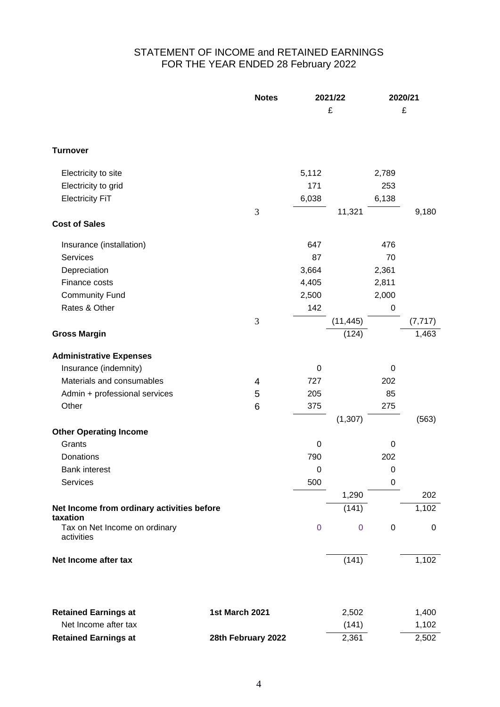### STATEMENT OF INCOME and RETAINED EARNINGS FOR THE YEAR ENDED 28 February 2022

|                                                        | <b>Notes</b> | 2021/22     |           | 2020/21          |           |
|--------------------------------------------------------|--------------|-------------|-----------|------------------|-----------|
|                                                        |              |             | £         | £                |           |
|                                                        |              |             |           |                  |           |
|                                                        |              |             |           |                  |           |
| <b>Turnover</b>                                        |              |             |           |                  |           |
| Electricity to site                                    |              | 5,112       |           | 2,789            |           |
| Electricity to grid                                    |              | 171         |           | 253              |           |
| <b>Electricity FiT</b>                                 |              | 6,038       |           | 6,138            |           |
|                                                        | 3            |             | 11,321    |                  | 9,180     |
| <b>Cost of Sales</b>                                   |              |             |           |                  |           |
| Insurance (installation)                               |              | 647         |           | 476              |           |
| Services                                               |              | 87          |           | 70               |           |
| Depreciation                                           |              | 3,664       |           | 2,361            |           |
| Finance costs                                          |              | 4,405       |           | 2,811            |           |
| <b>Community Fund</b>                                  |              | 2,500       |           | 2,000            |           |
| Rates & Other                                          |              | 142         |           | $\pmb{0}$        |           |
|                                                        | 3            |             | (11, 445) |                  | (7, 717)  |
| <b>Gross Margin</b>                                    |              |             | (124)     |                  | 1,463     |
| <b>Administrative Expenses</b>                         |              |             |           |                  |           |
| Insurance (indemnity)                                  |              | 0           |           | 0                |           |
| Materials and consumables                              | 4            | 727         |           | 202              |           |
| Admin + professional services                          | 5            | 205         |           | 85               |           |
| Other                                                  | 6            | 375         |           | 275              |           |
|                                                        |              |             | (1, 307)  |                  | (563)     |
| <b>Other Operating Income</b>                          |              |             |           |                  |           |
| Grants                                                 |              | 0           |           | 0                |           |
| Donations                                              |              | 790         |           | 202              |           |
| <b>Bank interest</b>                                   |              | $\mathbf 0$ |           | 0                |           |
| Services                                               |              | 500         |           | $\boldsymbol{0}$ |           |
|                                                        |              |             | 1,290     |                  | 202       |
| Net Income from ordinary activities before<br>taxation |              |             | (141)     |                  | 1,102     |
| Tax on Net Income on ordinary<br>activities            |              | $\mathbf 0$ | $\pmb{0}$ | $\pmb{0}$        | $\pmb{0}$ |
| Net Income after tax                                   |              |             | (141)     |                  | 1,102     |
|                                                        |              |             |           |                  |           |
|                                                        |              |             |           |                  |           |

| <b>Retained Earnings at</b> | <b>1st March 2021</b> | 2.502 | 1.400 |
|-----------------------------|-----------------------|-------|-------|
| Net Income after tax        |                       | (141) | 1.102 |
| <b>Retained Earnings at</b> | 28th February 2022    | 2.361 | 2.502 |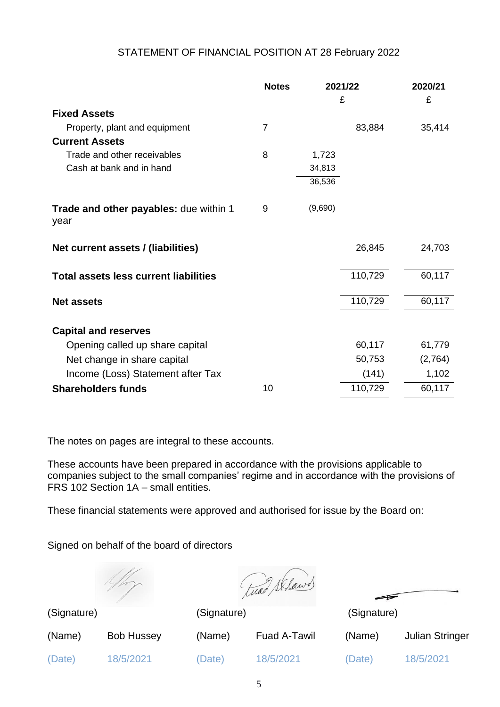#### STATEMENT OF FINANCIAL POSITION AT 28 February 2022

|                                                | <b>Notes</b>   |         | 2021/22 | 2020/21 |
|------------------------------------------------|----------------|---------|---------|---------|
|                                                |                |         | £       | £       |
| <b>Fixed Assets</b>                            |                |         |         |         |
| Property, plant and equipment                  | $\overline{7}$ |         | 83,884  | 35,414  |
| <b>Current Assets</b>                          |                |         |         |         |
| Trade and other receivables                    | 8              | 1,723   |         |         |
| Cash at bank and in hand                       |                | 34,813  |         |         |
|                                                |                | 36,536  |         |         |
| Trade and other payables: due within 1<br>year | 9              | (9,690) |         |         |
| Net current assets / (liabilities)             |                |         | 26,845  | 24,703  |
| <b>Total assets less current liabilities</b>   |                |         | 110,729 | 60,117  |
| <b>Net assets</b>                              |                |         | 110,729 | 60,117  |
| <b>Capital and reserves</b>                    |                |         |         |         |
| Opening called up share capital                |                |         | 60,117  | 61,779  |
| Net change in share capital                    |                |         | 50,753  | (2,764) |
| Income (Loss) Statement after Tax              |                |         | (141)   | 1,102   |
| <b>Shareholders funds</b>                      | 10             |         | 110,729 | 60,117  |

The notes on pages are integral to these accounts.

These accounts have been prepared in accordance with the provisions applicable to companies subject to the small companies' regime and in accordance with the provisions of FRS 102 Section 1A – small entities.

These financial statements were approved and authorised for issue by the Board on:

Signed on behalf of the board of directors

twas Sklawd

(Signature) (Signature) (Signature)

(Date) 18/5/2021 (Date) 18/5/2021 (Date) 18/5/2021

(Name) Bob Hussey (Name) Fuad A-Tawil (Name) Julian Stringer

5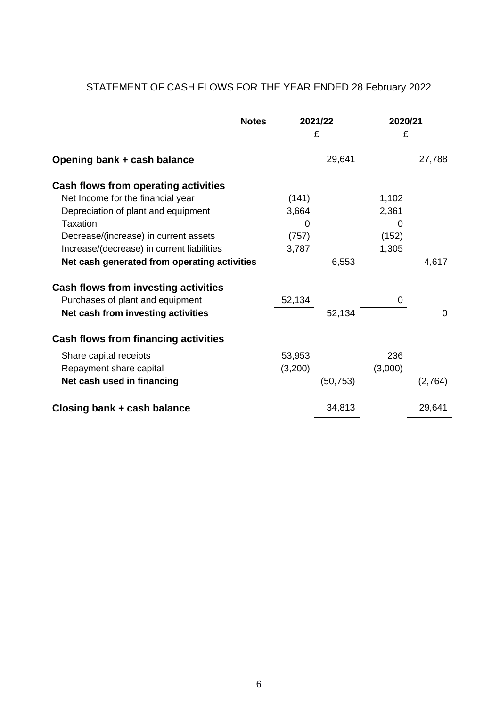## STATEMENT OF CASH FLOWS FOR THE YEAR ENDED 28 February 2022

|                                              | <b>Notes</b> |         | 2021/22<br>£ | 2020/21<br>£ |                |
|----------------------------------------------|--------------|---------|--------------|--------------|----------------|
| Opening bank + cash balance                  |              |         | 29,641       |              | 27,788         |
| <b>Cash flows from operating activities</b>  |              |         |              |              |                |
| Net Income for the financial year            |              | (141)   |              | 1,102        |                |
| Depreciation of plant and equipment          |              | 3,664   |              | 2,361        |                |
| Taxation                                     |              | 0       |              | 0            |                |
| Decrease/(increase) in current assets        |              | (757)   |              | (152)        |                |
| Increase/(decrease) in current liabilities   |              | 3,787   |              | 1,305        |                |
| Net cash generated from operating activities |              |         | 6,553        |              | 4,617          |
| <b>Cash flows from investing activities</b>  |              |         |              |              |                |
| Purchases of plant and equipment             |              | 52,134  |              | 0            |                |
| Net cash from investing activities           |              |         | 52,134       |              | $\overline{0}$ |
| <b>Cash flows from financing activities</b>  |              |         |              |              |                |
| Share capital receipts                       |              | 53,953  |              | 236          |                |
| Repayment share capital                      |              | (3,200) |              | (3,000)      |                |
| Net cash used in financing                   |              |         | (50, 753)    |              | (2,764)        |
| Closing bank + cash balance                  |              |         | 34,813       |              | 29,641         |
|                                              |              |         |              |              |                |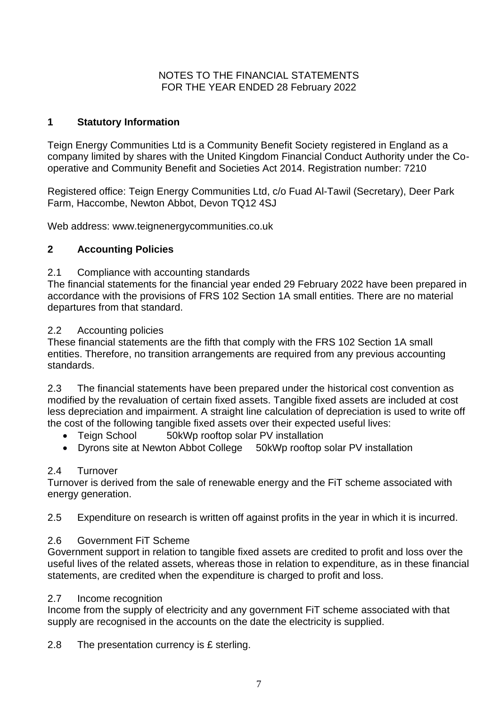#### NOTES TO THE FINANCIAL STATEMENTS FOR THE YEAR ENDED 28 February 2022

#### **1 Statutory Information**

Teign Energy Communities Ltd is a Community Benefit Society registered in England as a company limited by shares with the United Kingdom Financial Conduct Authority under the Cooperative and Community Benefit and Societies Act 2014. Registration number: 7210

Registered office: Teign Energy Communities Ltd, c/o Fuad Al-Tawil (Secretary), Deer Park Farm, Haccombe, Newton Abbot, Devon TQ12 4SJ

Web address: www.teignenergycommunities.co.uk

#### **2 Accounting Policies**

#### 2.1 Compliance with accounting standards

The financial statements for the financial year ended 29 February 2022 have been prepared in accordance with the provisions of FRS 102 Section 1A small entities. There are no material departures from that standard.

#### 2.2 Accounting policies

These financial statements are the fifth that comply with the FRS 102 Section 1A small entities. Therefore, no transition arrangements are required from any previous accounting standards.

2.3 The financial statements have been prepared under the historical cost convention as modified by the revaluation of certain fixed assets. Tangible fixed assets are included at cost less depreciation and impairment. A straight line calculation of depreciation is used to write off the cost of the following tangible fixed assets over their expected useful lives:

- Teign School 50kWp rooftop solar PV installation
- Dyrons site at Newton Abbot College 50kWp rooftop solar PV installation

#### 2.4 Turnover

Turnover is derived from the sale of renewable energy and the FiT scheme associated with energy generation.

2.5 Expenditure on research is written off against profits in the year in which it is incurred.

#### 2.6 Government FiT Scheme

Government support in relation to tangible fixed assets are credited to profit and loss over the useful lives of the related assets, whereas those in relation to expenditure, as in these financial statements, are credited when the expenditure is charged to profit and loss.

#### 2.7 Income recognition

Income from the supply of electricity and any government FiT scheme associated with that supply are recognised in the accounts on the date the electricity is supplied.

2.8 The presentation currency is £ sterling.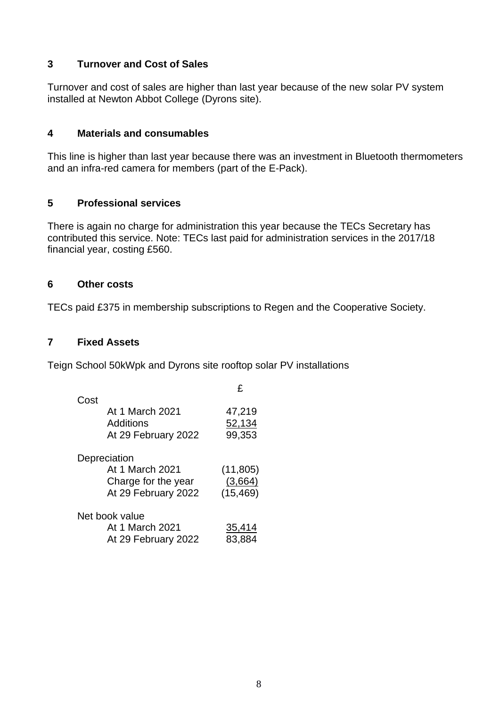#### **3 Turnover and Cost of Sales**

Turnover and cost of sales are higher than last year because of the new solar PV system installed at Newton Abbot College (Dyrons site).

#### **4 Materials and consumables**

This line is higher than last year because there was an investment in Bluetooth thermometers and an infra-red camera for members (part of the E-Pack).

#### **5 Professional services**

There is again no charge for administration this year because the TECs Secretary has contributed this service. Note: TECs last paid for administration services in the 2017/18 financial year, costing £560.

#### **6 Other costs**

TECs paid £375 in membership subscriptions to Regen and the Cooperative Society.

#### **7 Fixed Assets**

Teign School 50kWpk and Dyrons site rooftop solar PV installations

|                |                     | £         |
|----------------|---------------------|-----------|
| Cost           |                     |           |
|                | At 1 March 2021     | 47,219    |
| Additions      |                     | 52,134    |
|                | At 29 February 2022 | 99,353    |
| Depreciation   |                     |           |
|                | At 1 March 2021     | (11, 805) |
|                | Charge for the year | (3,664)   |
|                | At 29 February 2022 | (15, 469) |
| Net book value |                     |           |
|                | At 1 March 2021     | 35,414    |
|                | At 29 February 2022 | 83,884    |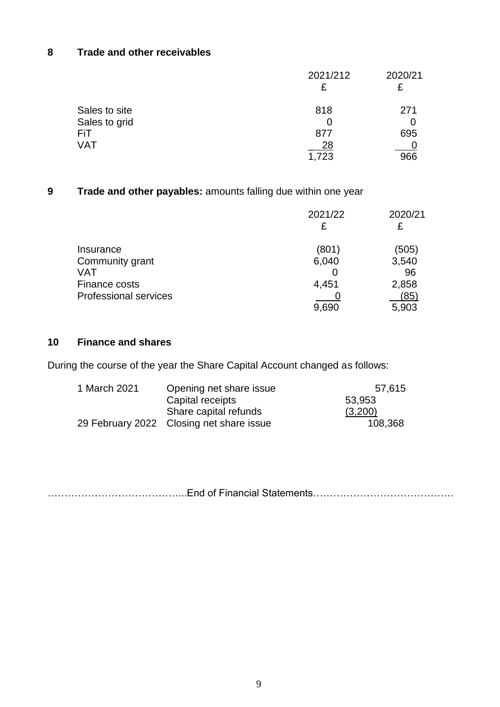## **8 Trade and other receivables**

|               | 2021/212 | 2020/21 |
|---------------|----------|---------|
|               | £        | £       |
| Sales to site | 818      | 271     |
| Sales to grid |          |         |
| FiT           | 877      | 695     |
| <b>VAT</b>    | 28       |         |
|               | 1,723    | 966     |

## **9 Trade and other payables:** amounts falling due within one year

|                              | 2021/22 | 2020/21<br>£ |
|------------------------------|---------|--------------|
| Insurance                    | (801)   | (505)        |
| Community grant              | 6,040   | 3,540        |
| VAT                          |         | 96           |
| Finance costs                | 4,451   | 2,858        |
| <b>Professional services</b> |         | (85)         |
|                              | 9,690   | 5,903        |

#### **10 Finance and shares**

During the course of the year the Share Capital Account changed as follows:

| 1 March 2021 | Opening net share issue                  | 57,615  |
|--------------|------------------------------------------|---------|
|              | Capital receipts                         | 53,953  |
|              | Share capital refunds                    | (3,200) |
|              | 29 February 2022 Closing net share issue | 108,368 |

…………………………………...End of Financial Statements……………………………………